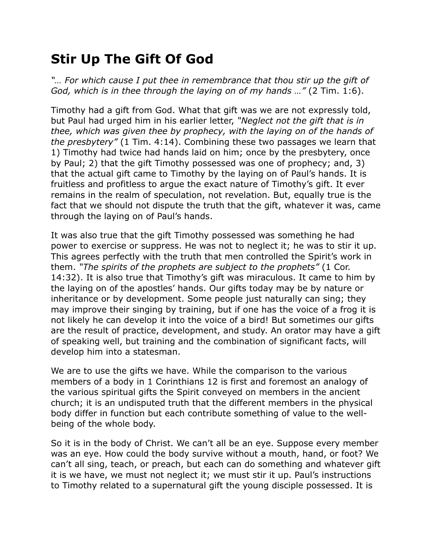## **Stir Up The Gift Of God**

*"… For which cause I put thee in remembrance that thou stir up the gift of God, which is in thee through the laying on of my hands …"* (2 Tim. 1:6).

Timothy had a gift from God. What that gift was we are not expressly told, but Paul had urged him in his earlier letter, *"Neglect not the gift that is in thee, which was given thee by prophecy, with the laying on of the hands of the presbytery"* (1 Tim. 4:14). Combining these two passages we learn that 1) Timothy had twice had hands laid on him; once by the presbytery, once by Paul; 2) that the gift Timothy possessed was one of prophecy; and, 3) that the actual gift came to Timothy by the laying on of Paul's hands. It is fruitless and profitless to argue the exact nature of Timothy's gift. It ever remains in the realm of speculation, not revelation. But, equally true is the fact that we should not dispute the truth that the gift, whatever it was, came through the laying on of Paul's hands.

It was also true that the gift Timothy possessed was something he had power to exercise or suppress. He was not to neglect it; he was to stir it up. This agrees perfectly with the truth that men controlled the Spirit's work in them. *"The spirits of the prophets are subject to the prophets"* (1 Cor. 14:32). It is also true that Timothy's gift was miraculous. It came to him by the laying on of the apostles' hands. Our gifts today may be by nature or inheritance or by development. Some people just naturally can sing; they may improve their singing by training, but if one has the voice of a frog it is not likely he can develop it into the voice of a bird! But sometimes our gifts are the result of practice, development, and study. An orator may have a gift of speaking well, but training and the combination of significant facts, will develop him into a statesman.

We are to use the gifts we have. While the comparison to the various members of a body in 1 Corinthians 12 is first and foremost an analogy of the various spiritual gifts the Spirit conveyed on members in the ancient church; it is an undisputed truth that the different members in the physical body differ in function but each contribute something of value to the wellbeing of the whole body.

So it is in the body of Christ. We can't all be an eye. Suppose every member was an eye. How could the body survive without a mouth, hand, or foot? We can't all sing, teach, or preach, but each can do something and whatever gift it is we have, we must not neglect it; we must stir it up. Paul's instructions to Timothy related to a supernatural gift the young disciple possessed. It is